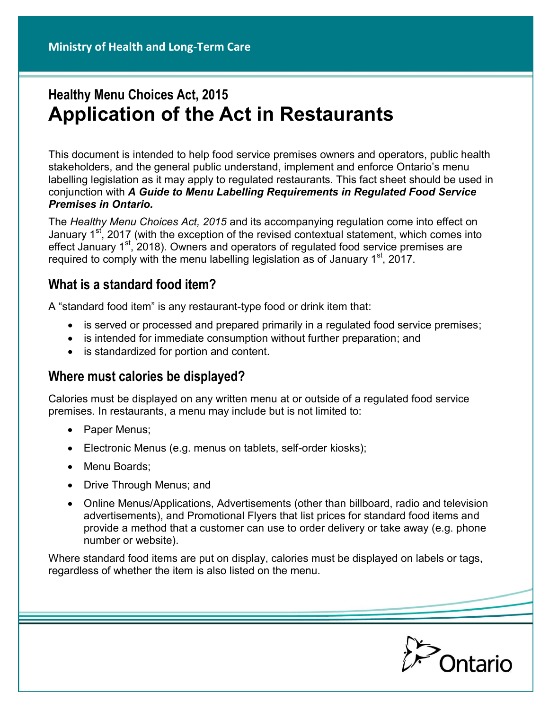# **Healthy Menu Choices Act, 2015 Application of the Act in Restaurants**

This document is intended to help food service premises owners and operators, public health stakeholders, and the general public understand, implement and enforce Ontario's menu labelling legislation as it may apply to regulated restaurants. This fact sheet should be used in conjunction with *A Guide to Menu Labelling Requirements in Regulated Food Service Premises in Ontario.*

The *Healthy Menu Choices Act, 2015* and its accompanying regulation come into effect on January 1<sup>st</sup>, 2017 (with the exception of the revised contextual statement, which comes into effect January  $1<sup>st</sup>$ , 2018). Owners and operators of regulated food service premises are required to comply with the menu labelling legislation as of January  $1<sup>st</sup>$ , 2017.

#### **What is a standard food item?**

A "standard food item" is any restaurant-type food or drink item that:

- is served or processed and prepared primarily in a regulated food service premises;
- is intended for immediate consumption without further preparation; and
- is standardized for portion and content.

#### **Where must calories be displayed?**

Calories must be displayed on any written menu at or outside of a regulated food service premises. In restaurants, a menu may include but is not limited to:

- Paper Menus;
- Electronic Menus (e.g. menus on tablets, self-order kiosks);
- Menu Boards:
- Drive Through Menus; and
- Online Menus/Applications, Advertisements (other than billboard, radio and television advertisements), and Promotional Flyers that list prices for standard food items and provide a method that a customer can use to order delivery or take away (e.g. phone number or website).

Where standard food items are put on display, calories must be displayed on labels or tags, regardless of whether the item is also listed on the menu.

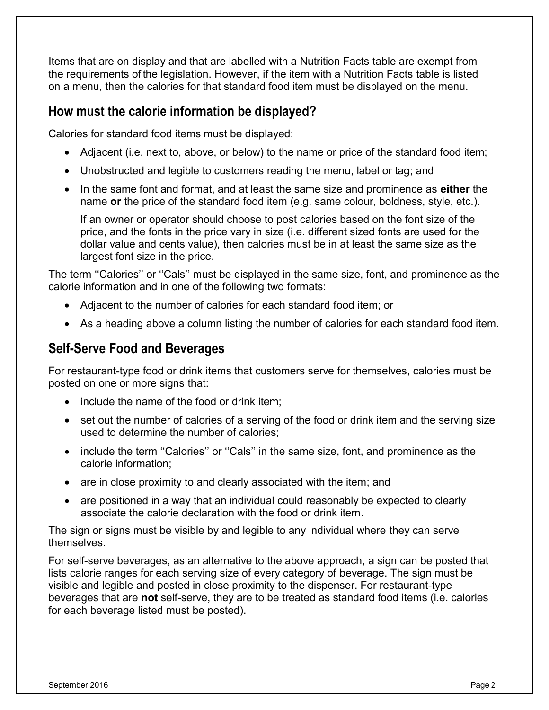Items that are on display and that are labelled with a Nutrition Facts table are exempt from the requirements of the legislation. However, if the item with a Nutrition Facts table is listed on a menu, then the calories for that standard food item must be displayed on the menu.

#### **How must the calorie information be displayed?**

Calories for standard food items must be displayed:

- Adjacent (i.e. next to, above, or below) to the name or price of the standard food item;
- Unobstructed and legible to customers reading the menu, label or tag; and
- In the same font and format, and at least the same size and prominence as **either** the name **or** the price of the standard food item (e.g. same colour, boldness, style, etc.).

If an owner or operator should choose to post calories based on the font size of the price, and the fonts in the price vary in size (i.e. different sized fonts are used for the dollar value and cents value), then calories must be in at least the same size as the largest font size in the price.

The term ''Calories'' or ''Cals'' must be displayed in the same size, font, and prominence as the calorie information and in one of the following two formats:

- Adjacent to the number of calories for each standard food item; or
- As a heading above a column listing the number of calories for each standard food item.

#### **Self-Serve Food and Beverages**

For restaurant-type food or drink items that customers serve for themselves, calories must be posted on one or more signs that:

- include the name of the food or drink item;
- set out the number of calories of a serving of the food or drink item and the serving size used to determine the number of calories;
- include the term "Calories" or "Cals" in the same size, font, and prominence as the calorie information;
- are in close proximity to and clearly associated with the item; and
- are positioned in a way that an individual could reasonably be expected to clearly associate the calorie declaration with the food or drink item.

The sign or signs must be visible by and legible to any individual where they can serve themselves.

For self-serve beverages, as an alternative to the above approach, a sign can be posted that lists calorie ranges for each serving size of every category of beverage. The sign must be visible and legible and posted in close proximity to the dispenser. For restaurant-type beverages that are **not** self-serve, they are to be treated as standard food items (i.e. calories for each beverage listed must be posted).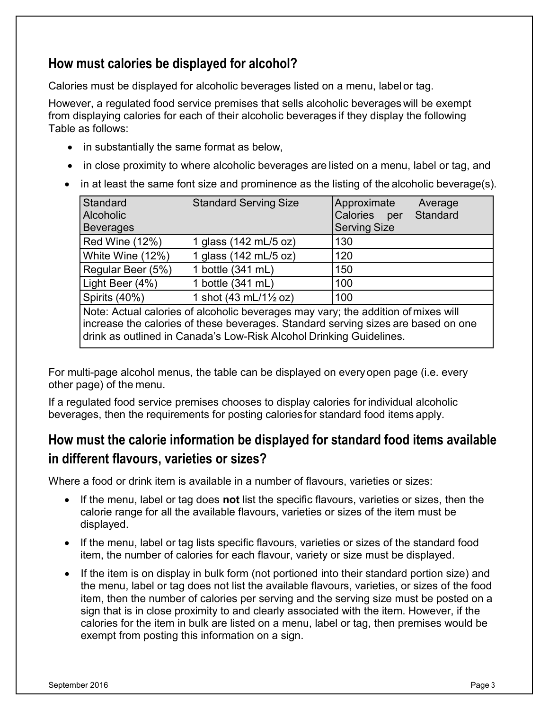## **How must calories be displayed for alcohol?**

Calories must be displayed for alcoholic beverages listed on a menu, label or tag.

However, a regulated food service premises that sells alcoholic beverages will be exempt from displaying calories for each of their alcoholic beverages if they display the following Table as follows:

- in substantially the same format as below,
- in close proximity to where alcoholic beverages are listed on a menu, label or tag, and
- $\bullet$  in at least the same font size and prominence as the listing of the alcoholic beverage(s).

| Standard<br><b>Alcoholic</b><br>Beverages                                         | <b>Standard Serving Size</b>                     | Approximate<br>Average<br>Calories per<br>Standard<br><b>Serving Size</b> |
|-----------------------------------------------------------------------------------|--------------------------------------------------|---------------------------------------------------------------------------|
| Red Wine (12%)                                                                    | 1 glass (142 mL/5 oz)                            | 130                                                                       |
| White Wine (12%)                                                                  | 1 glass (142 mL/5 oz)                            | 120                                                                       |
| Regular Beer (5%)                                                                 | 1 bottle (341 mL)                                | 150                                                                       |
| Light Beer (4%)                                                                   | 1 bottle (341 mL)                                | 100                                                                       |
| Spirits (40%)                                                                     | 1 shot $(43 \text{ mL}/1\frac{1}{2} \text{ oz})$ | 100                                                                       |
| Note: Actual calories of alcoholic beverages may vary; the addition of mixes will |                                                  |                                                                           |

increase the calories of these beverages. Standard serving sizes are based on one drink as outlined in Canada's Low-Risk Alcohol Drinking Guidelines.

For multi-page alcohol menus, the table can be displayed on every open page (i.e. every other page) of the menu.

If a regulated food service premises chooses to display calories for individual alcoholic beverages, then the requirements for posting calories for standard food items apply.

## **How must the calorie information be displayed for standard food items available in different flavours, varieties or sizes?**

Where a food or drink item is available in a number of flavours, varieties or sizes:

- If the menu, label or tag does **not** list the specific flavours, varieties or sizes, then the calorie range for all the available flavours, varieties or sizes of the item must be displayed.
- If the menu, label or tag lists specific flavours, varieties or sizes of the standard food item, the number of calories for each flavour, variety or size must be displayed.
- If the item is on display in bulk form (not portioned into their standard portion size) and the menu, label or tag does not list the available flavours, varieties, or sizes of the food item, then the number of calories per serving and the serving size must be posted on a sign that is in close proximity to and clearly associated with the item. However, if the calories for the item in bulk are listed on a menu, label or tag, then premises would be exempt from posting this information on a sign.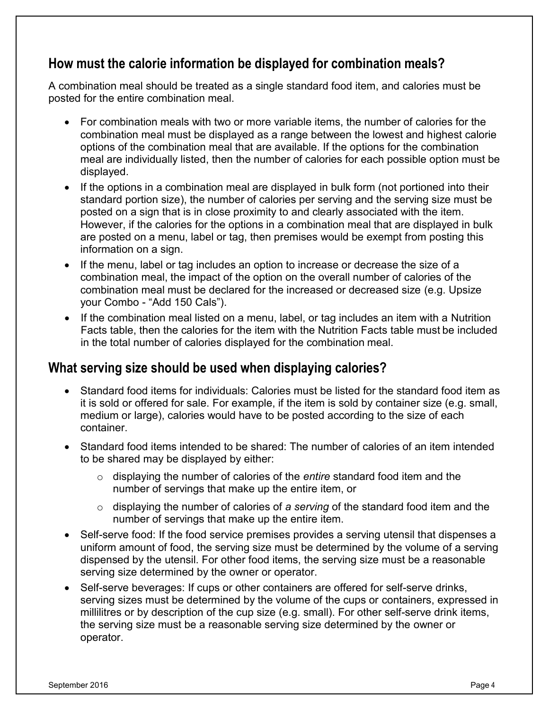### **How must the calorie information be displayed for combination meals?**

A combination meal should be treated as a single standard food item, and calories must be posted for the entire combination meal.

- For combination meals with two or more variable items, the number of calories for the combination meal must be displayed as a range between the lowest and highest calorie options of the combination meal that are available. If the options for the combination meal are individually listed, then the number of calories for each possible option must be displayed.
- If the options in a combination meal are displayed in bulk form (not portioned into their standard portion size), the number of calories per serving and the serving size must be posted on a sign that is in close proximity to and clearly associated with the item. However, if the calories for the options in a combination meal that are displayed in bulk are posted on a menu, label or tag, then premises would be exempt from posting this information on a sign.
- If the menu, label or tag includes an option to increase or decrease the size of a combination meal, the impact of the option on the overall number of calories of the combination meal must be declared for the increased or decreased size (e.g. Upsize your Combo - "Add 150 Cals").
- If the combination meal listed on a menu, label, or tag includes an item with a Nutrition Facts table, then the calories for the item with the Nutrition Facts table must be included in the total number of calories displayed for the combination meal.

#### **What serving size should be used when displaying calories?**

- Standard food items for individuals: Calories must be listed for the standard food item as it is sold or offered for sale. For example, if the item is sold by container size (e.g. small, medium or large), calories would have to be posted according to the size of each container.
- Standard food items intended to be shared: The number of calories of an item intended to be shared may be displayed by either:
	- o displaying the number of calories of the *entire* standard food item and the number of servings that make up the entire item, or
	- o displaying the number of calories of *a serving* of the standard food item and the number of servings that make up the entire item.
- Self-serve food: If the food service premises provides a serving utensil that dispenses a uniform amount of food, the serving size must be determined by the volume of a serving dispensed by the utensil. For other food items, the serving size must be a reasonable serving size determined by the owner or operator.
- Self-serve beverages: If cups or other containers are offered for self-serve drinks, serving sizes must be determined by the volume of the cups or containers, expressed in millilitres or by description of the cup size (e.g. small). For other self-serve drink items, the serving size must be a reasonable serving size determined by the owner or operator.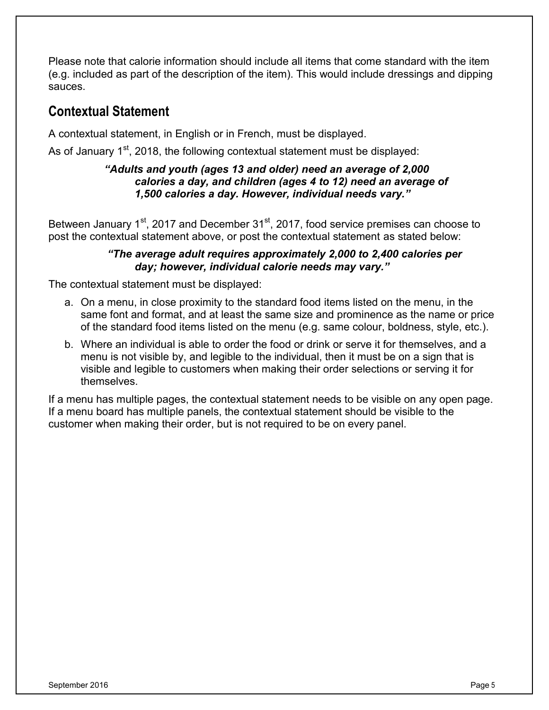Please note that calorie information should include all items that come standard with the item (e.g. included as part of the description of the item). This would include dressings and dipping sauces.

### **Contextual Statement**

A contextual statement, in English or in French, must be displayed.

As of January  $1<sup>st</sup>$ , 2018, the following contextual statement must be displayed:

#### *"Adults and youth (ages 13 and older) need an average of 2,000 calories a day, and children (ages 4 to 12) need an average of 1,500 calories a day. However, individual needs vary."*

Between January 1<sup>st</sup>, 2017 and December 31<sup>st</sup>, 2017, food service premises can choose to post the contextual statement above, or post the contextual statement as stated below:

#### *"The average adult requires approximately 2,000 to 2,400 calories per day; however, individual calorie needs may vary."*

The contextual statement must be displayed:

- a. On a menu, in close proximity to the standard food items listed on the menu, in the same font and format, and at least the same size and prominence as the name or price of the standard food items listed on the menu (e.g. same colour, boldness, style, etc.).
- b. Where an individual is able to order the food or drink or serve it for themselves, and a menu is not visible by, and legible to the individual, then it must be on a sign that is visible and legible to customers when making their order selections or serving it for themselves.

If a menu has multiple pages, the contextual statement needs to be visible on any open page. If a menu board has multiple panels, the contextual statement should be visible to the customer when making their order, but is not required to be on every panel.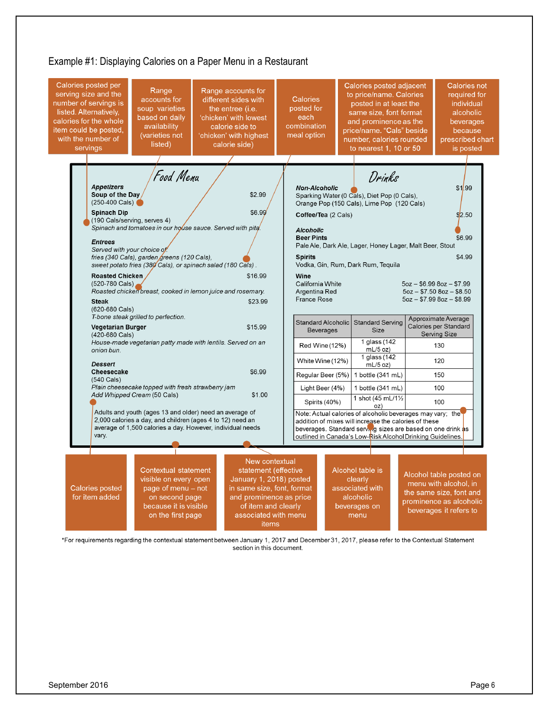

\*For requirements regarding the contextual statement between January 1, 2017 and December 31, 2017, please refer to the Contextual Statement section in this document.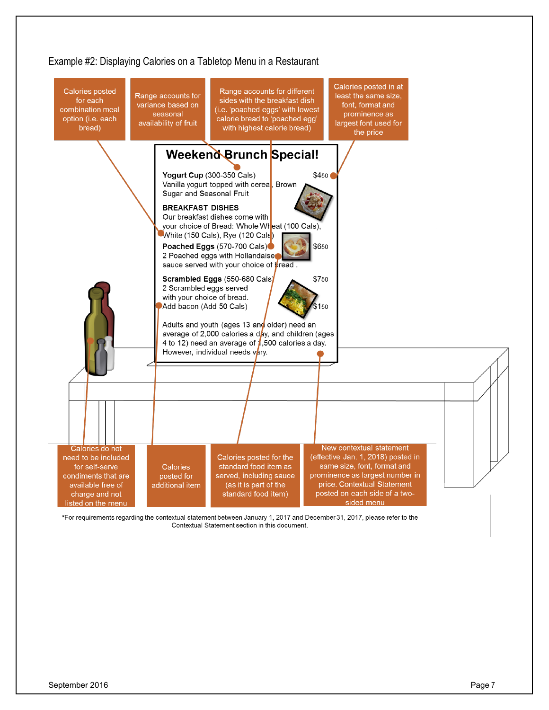

\*For requirements regarding the contextual statement between January 1, 2017 and December 31, 2017, please refer to the Contextual Statement section in this document.